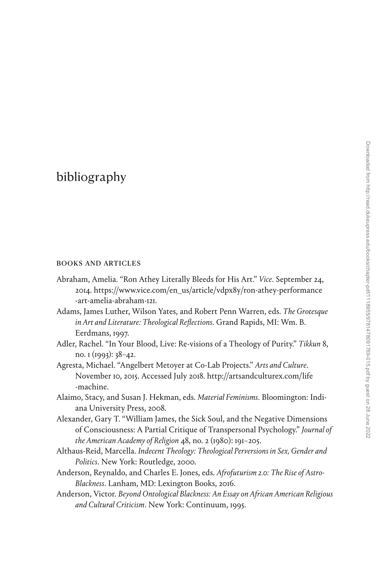## [bibliography](#page--1-0)

## books and articles

- Abraham, Amelia. "Ron Athey Literally Bleeds for His Art." *Vice*. September 24, 2014. [https://www.vice.com/en\\_us/article/vdpx8y/ron-athey-performance](https://www.vice.com/en_us/article/vdpx8y/ron-athey-performance-art-amelia-abraham-121) [-art-amelia-abraham-121](https://www.vice.com/en_us/article/vdpx8y/ron-athey-performance-art-amelia-abraham-121).
- Adams, James Luther, Wilson Yates, and Robert Penn Warren, eds. *The Grotesque in Art and Literature: Theological Reflections*. Grand Rapids, MI: Wm. B. Eerdmans, 1997.
- Adler, Rachel. "In Your Blood, Live: Re-visions of a Theology of Purity." *Tikkun* 8, no. 1 (1993): 38–42.
- Agresta, Michael. "Angelbert Metoyer at Co-Lab Projects." *Arts and Culture*. November 10, 2015. Accessed July 2018. [http://artsandculturex.com/life](http://artsandculturex.com/life-machine) [-machine](http://artsandculturex.com/life-machine).
- Alaimo, Stacy, and Susan J. Hekman, eds. *Material Feminisms*. Bloomington: Indiana University Press, 2008.
- Alexander, Gary T. "William James, the Sick Soul, and the Negative Dimensions of Consciousness: A Partial Critique of Transpersonal Psychology." *Journal of the American Academy of Religion* 48, no. 2 (1980): 191–205.
- Althaus-Reid, Marcella. *Indecent Theology: Theological Perversions in Sex, Gender and Politics*. New York: Routledge, 2000.
- Anderson, Reynaldo, and Charles E. Jones, eds. *Afrofuturism 2.0: The Rise of Astro-Blackness*. Lanham, MD: Lexington Books, 2016.
- Anderson, Victor. *Beyond Ontological Blackness: An Essay on African American Religious and Cultural Criticism*. New York: Continuum, 1995.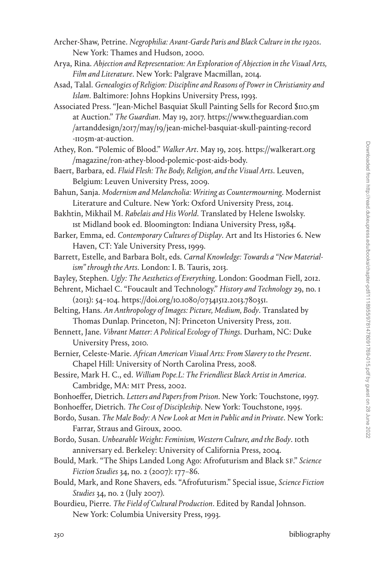- Archer-Shaw, Petrine. *Negrophilia: Avant-Garde Paris and Black Culture in the 1920s*. New York: Thames and Hudson, 2000.
- Arya, Rina. *Abjection and Representation: An Exploration of Abjection in the Visual Arts, Film and Literature*. New York: Palgrave Macmillan, 2014.
- Asad, Talal. *Genealogies of Religion: Discipline and Reasons of Power in Christianity and Islam*. Baltimore: Johns Hopkins University Press, 1993.
- Associated Press. "Jean-Michel Basquiat Skull Painting Sells for Record \$110.5m at Auction." *The Guardian*. May 19, 2017. [https://www.theguardian.com](https://www.theguardian.com/artanddesign/2017/may/19/jean-michel-basquiat-skull-painting-record-1105m-at-auction) [/artanddesign/2017/may/19/jean-michel-basquiat-skull-painting-record](https://www.theguardian.com/artanddesign/2017/may/19/jean-michel-basquiat-skull-painting-record-1105m-at-auction) [-1105m-at-auction](https://www.theguardian.com/artanddesign/2017/may/19/jean-michel-basquiat-skull-painting-record-1105m-at-auction).
- Athey, Ron. "Polemic of Blood." *Walker Art*. May 19, 2015. [https://walkerart.org](https://walkerart.org/magazine/ron-athey-blood-polemic-post-aids-body) [/magazine/ron-athey-blood-polemic-post-aids-body](https://walkerart.org/magazine/ron-athey-blood-polemic-post-aids-body).
- Baert, Barbara, ed. *Fluid Flesh: The Body, Religion, and the Visual Arts*. Leuven, Belgium: Leuven University Press, 2009.
- Bahun, Sanja. *Modernism and Melancholia: Writing as Countermourning*. Modernist Literature and Culture. New York: Oxford University Press, 2014.

Bakhtin, Mikhail M. *Rabelais and His World*. Translated by Helene Iswolsky. 1st Midland book ed. Bloomington: Indiana University Press, 1984.

- Barker, Emma, ed. *Contemporary Cultures of Display*. Art and Its Histories 6. New Haven, CT: Yale University Press, 1999.
- Barrett, Estelle, and Barbara Bolt, eds. *Carnal Knowledge: Towards a "New Materialism" through the Arts*. London: I. B. Tauris, 2013.
- Bayley, Stephen. *Ugly: The Aesthetics of Everything*. London: Goodman Fiell, 2012.
- Behrent, Michael C. "Foucault and Technology." *History and Technology* 29, no. 1 (2013): 54–104. [https://doi.org/10.1080/07341512.2013.780351.](https://doi.org/10.1080/07341512.2013.780351)
- Belting, Hans. *An Anthropology of Images: Picture, Medium, Body*. Translated by Thomas Dunlap. Princeton, NJ: Princeton University Press, 2011.
- Bennett, Jane. *Vibrant Matter: A Political Ecology of Things*. Durham, NC: Duke University Press, 2010.
- Bernier, Celeste-Marie. *African American Visual Arts: From Slavery to the Present*. Chapel Hill: University of North Carolina Press, 2008.
- Bessire, Mark H. C., ed. *William Pope.L: The Friendliest Black Artist in America*. Cambridge, MA: MIT Press, 2002.
- Bonhoeffer, Dietrich. *Letters and Papers from Prison*. New York: Touchstone, 1997.
- Bonhoeffer, Dietrich. *The Cost of Discipleship*. New York: Touchstone, 1995.
- Bordo, Susan. *The Male Body: A New Look at Men in Public and in Private*. New York: Farrar, Straus and Giroux, 2000.
- Bordo, Susan. *Unbearable Weight: Feminism, Western Culture, and the Body*. 10th anniversary ed. Berkeley: University of California Press, 2004.
- Bould, Mark. "The Ships Landed Long Ago: Afrofuturism and Black SF." *Science Fiction Studies* 34, no. 2 (2007): 177–86.
- Bould, Mark, and Rone Shavers, eds. "Afrofuturism." Special issue, *Science Fiction Studies* 34, no. 2 (July 2007).
- Bourdieu, Pierre. *The Field of Cultural Production*. Edited by Randal Johnson. New York: Columbia University Press, 1993.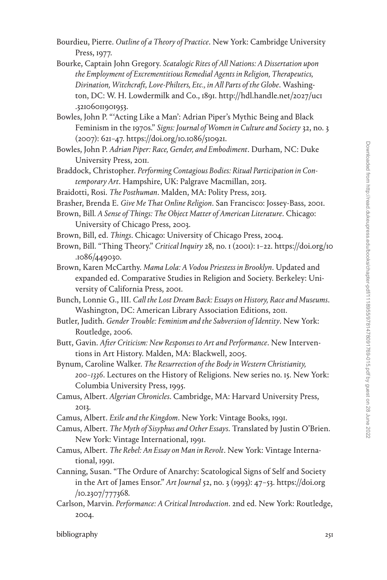- Bourdieu, Pierre. *Outline of a Theory of Practice*. New York: Cambridge University Press, 1977.
- Bourke, Captain John Gregory. *Scatalogic Rites of All Nations: A Dissertation upon the Employment of Excrementitious Remedial Agents in Religion, Therapeutics, Divination, Witchcraft, Love-Philters, Etc., in All Parts of the Globe*. Washington, DC: W. H. Lowdermilk and Co., 1891. [http://hdl.handle.net/2027/uc1](http://hdl.handle.net/2027/uc1.32106011901953) [.32106011901953](http://hdl.handle.net/2027/uc1.32106011901953).
- Bowles, John P. "'Acting Like a Man': Adrian Piper's Mythic Being and Black Feminism in the 1970s." *Signs: Journal of Women in Culture and Society* 32, no. 3 (2007): 621–47. <https://doi.org/10.1086/510921>.
- Bowles, John P. *Adrian Piper: Race, Gender, and Embodiment*. Durham, NC: Duke University Press, 2011.
- Braddock, Christopher. *Performing Contagious Bodies: Ritual Participation in Contemporary Art*. Hampshire, UK: Palgrave Macmillan, 2013.
- Braidotti, Rosi. *The Posthuman*. Malden, MA: Polity Press, 2013.
- Brasher, Brenda E. *Give Me That Online Religion*. San Francisco: Jossey-Bass, 2001.
- Brown, Bill*. A Sense of Things: The Object Matter of American Literature*. Chicago: University of Chicago Press, 2003.
- Brown, Bill, ed. *Things*. Chicago: University of Chicago Press, 2004.
- Brown, Bill. "Thing Theory." *Critical Inquiry* 28, no. 1 (2001): 1–22. [https://doi.org/10](https://doi.org/10.1086/449030) [.1086/449030.](https://doi.org/10.1086/449030)
- Brown, Karen McCarthy. *Mama Lola: A Vodou Priestess in Brooklyn*. Updated and expanded ed. Comparative Studies in Religion and Society. Berkeley: University of California Press, 2001.
- Bunch, Lonnie G., III. *Call the Lost Dream Back: Essays on History, Race and Museums*. Washington, DC: American Library Association Editions, 2011.
- Butler, Judith. *Gender Trouble: Feminism and the Subversion of Identity*. New York: Routledge, 2006.
- Butt, Gavin. *After Criticism: New Responses to Art and Performance*. New Interventions in Art History. Malden, MA: Blackwell, 2005.
- Bynum, Caroline Walker. *The Resurrection of the Body in Western Christianity, 200–1336*. Lectures on the History of Religions. New series no. 15. New York: Columbia University Press, 1995.
- Camus, Albert. *Algerian Chronicles*. Cambridge, MA: Harvard University Press, 2013.
- Camus, Albert. *Exile and the Kingdom*. New York: Vintage Books, 1991.
- Camus, Albert. *The Myth of Sisyphus and Other Essays*. Translated by Justin O'Brien. New York: Vintage International, 1991.
- Camus, Albert. *The Rebel: An Essay on Man in Revolt*. New York: Vintage International, 1991.
- Canning, Susan. "The Ordure of Anarchy: Scatological Signs of Self and Society in the Art of James Ensor." *Art Journal* 52, no. 3 (1993): 47–53. [https://doi.org](https://doi.org/10.2307/777368) [/10.2307/777368.](https://doi.org/10.2307/777368)
- Carlson, Marvin. *Performance: A Critical Introduction*. 2nd ed. New York: Routledge, 2004.

bibliography 251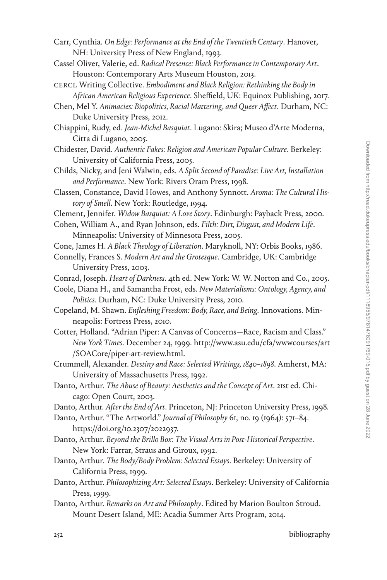- Carr, Cynthia. *On Edge: Performance at the End of the Twentieth Century*. Hanover, NH: University Press of New England, 1993.
- Cassel Oliver, Valerie, ed. *Radical Presence: Black Performance in Contemporary Art*. Houston: Contemporary Arts Museum Houston, 2013.
- CERCL Writing Collective. *Embodiment and Black Religion: Rethinking the Body in African American Religious Experience*. Sheffield, UK: Equinox Publishing, 2017.
- Chen, Mel Y. *Animacies: Biopolitics, Racial Mattering, and Queer Affect*. Durham, NC: Duke University Press, 2012.
- Chiappini, Rudy, ed. *Jean-Michel Basquiat*. Lugano: Skira; Museo d'Arte Moderna, Citta di Lugano, 2005.
- Chidester, David. *Authentic Fakes: Religion and American Popular Culture*. Berkeley: University of California Press, 2005.
- Childs, Nicky, and Jeni Walwin, eds. *A Split Second of Paradise: Live Art, Installation and Performance*. New York: Rivers Oram Press, 1998.
- Classen, Constance, David Howes, and Anthony Synnott. *Aroma: The Cultural History of Smell*. New York: Routledge, 1994.
- Clement, Jennifer. *Widow Basquiat: A Love Story*. Edinburgh: Payback Press, 2000.
- Cohen, William A., and Ryan Johnson, eds. *Filth: Dirt, Disgust, and Modern Life*. Minneapolis: University of Minnesota Press, 2005.
- Cone, James H. *A Black Theology of Liberation*. Maryknoll, NY: Orbis Books, 1986.
- Connelly, Frances S. *Modern Art and the Grotesque*. Cambridge, UK: Cambridge University Press, 2003.
- Conrad, Joseph. *Heart of Darkness*. 4th ed. New York: W. W. Norton and Co., 2005.
- Coole, Diana H., and Samantha Frost, eds. *New Materialisms: Ontology, Agency, and Politics*. Durham, NC: Duke University Press, 2010.
- Copeland, M. Shawn. *Enfleshing Freedom: Body, Race, and Being*. Innovations. Minneapolis: Fortress Press, 2010.
- Cotter, Holland. "Adrian Piper: A Canvas of Concerns—Race, Racism and Class." *New York Times*. December 24, 1999. [http://www.asu.edu/cfa/wwwcourses/art](http://www.asu.edu/cfa/wwwcourses/art/SOACore/piper-art-review.html) [/SOACore/piper-art-review.html](http://www.asu.edu/cfa/wwwcourses/art/SOACore/piper-art-review.html).
- Crummell, Alexander. *Destiny and Race: Selected Writings, 1840–1898*. Amherst, MA: University of Massachusetts Press, 1992.
- Danto, Arthur. *The Abuse of Beauty: Aesthetics and the Concept of Art*. 21st ed. Chicago: Open Court, 2003.
- Danto, Arthur. *After the End of Art*. Princeton, NJ: Princeton University Press, 1998.
- Danto, Arthur. "The Artworld." *Journal of Philosophy* 61, no. 19 (1964): 571–84. <https://doi.org/10.2307/2022937>.
- Danto, Arthur. *Beyond the Brillo Box: The Visual Arts in Post-Historical Perspective*. New York: Farrar, Straus and Giroux, 1992.
- Danto, Arthur. *The Body/Body Problem: Selected Essays*. Berkeley: University of California Press, 1999.
- Danto, Arthur. *Philosophizing Art: Selected Essays*. Berkeley: University of California Press, 1999.
- Danto, Arthur. *Remarks on Art and Philosophy*. Edited by Marion Boulton Stroud. Mount Desert Island, ME: Acadia Summer Arts Program, 2014.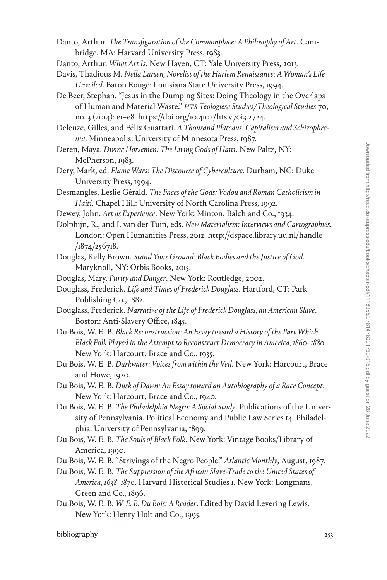- Danto, Arthur. *The Transfiguration of the Commonplace: A Philosophy of Art*. Cambridge, MA: Harvard University Press, 1983.
- Danto, Arthur. *What Art Is*. New Haven, CT: Yale University Press, 2013.
- Davis, Thadious M. *Nella Larsen, Novelist of the Harlem Renaissance: A Woman's Life Unveiled*. Baton Rouge: Louisiana State University Press, 1994.
- De Beer, Stephan. "Jesus in the Dumping Sites: Doing Theology in the Overlaps of Human and Material Waste." *HTS Teologiese Studies/Theological Studies* 70, no. 3 (2014): e1–e8.<https://doi.org/10.4102/hts.v70i3.2724>.

Deleuze, Gilles, and Félix Guattari. *A Thousand Plateaus: Capitalism and Schizophrenia*. Minneapolis: University of Minnesota Press, 1987.

- Deren, Maya. *Divine Horsemen: The Living Gods of Haiti*. New Paltz, NY: McPherson, 1983.
- Dery, Mark, ed. *Flame Wars: The Discourse of Cyberculture*. Durham, NC: Duke University Press, 1994.
- Desmangles, Leslie Gérald. *The Faces of the Gods: Vodou and Roman Catholicism in Haiti*. Chapel Hill: University of North Carolina Press, 1992.
- Dewey, John. *Art as Experience*. New York: Minton, Balch and Co., 1934.
- Dolphijn, R., and I. van der Tuin, eds. *New Materialism: Interviews and Cartographies*. London: Open Humanities Press, 2012. [http://dspace.library.uu.nl/handle](http://dspace.library.uu.nl/handle/1874/256718)  $/1874/256718.$
- Douglas, Kelly Brown. *Stand Your Ground: Black Bodies and the Justice of God*. Maryknoll, NY: Orbis Books, 2015.
- Douglas, Mary. *Purity and Danger*. New York: Routledge, 2002.
- Douglass, Frederick. *Life and Times of Frederick Douglass*. Hartford, CT: Park Publishing Co., 1882.
- Douglass, Frederick. *Narrative of the Life of Frederick Douglass, an American Slave*. Boston: Anti-Slavery Office, 1845.
- Du Bois, W. E. B. *Black Reconstruction: An Essay toward a History of the Part Which Black Folk Played in the Attempt to Reconstruct Democracy in America, 1860–1880*. New York: Harcourt, Brace and Co., 1935.
- Du Bois, W. E. B. *Darkwater: Voices from within the Veil*. New York: Harcourt, Brace and Howe, 1920.
- Du Bois, W. E. B. *Dusk of Dawn: An Essay toward an Autobiography of a Race Concept*. New York: Harcourt, Brace and Co., 1940.
- Du Bois, W. E. B. *The Philadelphia Negro: A Social Study*. Publications of the University of Pennsylvania. Political Economy and Public Law Series 14. Philadelphia: University of Pennsylvania, 1899.
- Du Bois, W. E. B. *The Souls of Black Folk*. New York: Vintage Books/Library of America, 1990.
- Du Bois, W. E. B. "Strivings of the Negro People." *Atlantic Monthly*, August, 1987.
- Du Bois, W. E. B. *The Suppression of the African Slave-Trade to the United States of America, 1638–1870*. Harvard Historical Studies 1. New York: Longmans, Green and Co., 1896.
- Du Bois, W. E. B. *W. E. B. Du Bois: A Reader*. Edited by David Levering Lewis. New York: Henry Holt and Co., 1995.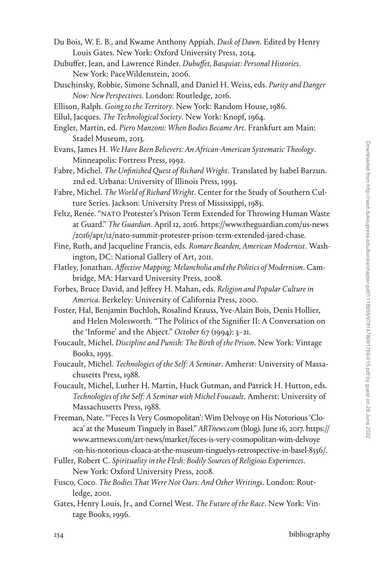- Du Bois, W. E. B., and Kwame Anthony Appiah. *Dusk of Dawn*. Edited by Henry Louis Gates. New York: Oxford University Press, 2014.
- Dubuffet, Jean, and Lawrence Rinder. *Dubuffet, Basquiat: Personal Histories*. New York: PaceWildenstein, 2006.
- Duschinsky, Robbie, Simone Schnall, and Daniel H. Weiss, eds. *Purity and Danger Now: New Perspectives*. London: Routledge, 2016.
- Ellison, Ralph. *Going to the Territory*. New York: Random House, 1986.
- Ellul, Jacques. *The Technological Society*. New York: Knopf, 1964.
- Engler, Martin, ed. *Piero Manzoni: When Bodies Became Art*. Frankfurt am Main: Stadel Museum, 2013.
- Evans, James H. *We Have Been Believers: An African-American Systematic Theology*. Minneapolis: Fortress Press, 1992.
- Fabre, Michel. *The Unfinished Quest of Richard Wright*. Translated by Isabel Barzun. 2nd ed. Urbana: University of Illinois Press, 1993.
- Fabre, Michel. *The World of Richard Wright*. Center for the Study of Southern Culture Series. Jackson: University Press of Mississippi, 1985.
- Feltz, Renée. "NATO Protester's Prison Term Extended for Throwing Human Waste at Guard." *The Guardian*. April 12, 2016. [https://www.theguardian.com/us-news](https://www.theguardian.com/us-news/2016/apr/12/nato-summit-protester-prison-term-extended-jared-chase) [/2016/apr/12/nato-summit-protester-prison-term-extended-jared-chase](https://www.theguardian.com/us-news/2016/apr/12/nato-summit-protester-prison-term-extended-jared-chase).
- Fine, Ruth, and Jacqueline Francis, eds. *Romare Bearden, American Modernist*. Washington, DC: National Gallery of Art, 2011.
- Flatley, Jonathan. *Affective Mapping: Melancholia and the Politics of Modernism*. Cambridge, MA: Harvard University Press, 2008.
- Forbes, Bruce David, and Jeffrey H. Mahan, eds. *Religion and Popular Culture in America*. Berkeley: University of California Press, 2000.
- Foster, Hal, Benjamin Buchloh, Rosalind Krauss, Yve-Alain Bois, Denis Hollier, and Helen Molesworth. "The Politics of the Signifier II: A Conversation on the 'Informe' and the Abject." *October* 67 (1994): 3–21.
- Foucault, Michel. *Discipline and Punish: The Birth of the Prison*. New York: Vintage Books, 1995.
- Foucault, Michel. *Technologies of the Self: A Seminar*. Amherst: University of Massachusetts Press, 1988.
- Foucault, Michel, Luther H. Martin, Huck Gutman, and Patrick H. Hutton, eds. *Technologies of the Self: A Seminar with Michel Foucault*. Amherst: University of Massachusetts Press, 1988.
- Freeman, Nate. "'Feces Is Very Cosmopolitan': Wim Delvoye on His Notorious 'Cloaca' at the Museum Tinguely in Basel." *ARTnews.com* (blog). June 16, 2017. [https://](https://www.artnews.com/art-news/market/feces-is-very-cosmopolitan-wim-delvoye-on-his-notorious-cloaca-at-the-museum-tinguelys-retrospective-in-basel-8556/) [www.artnews.com/art-news/market/feces-is-very-cosmopolitan-wim-delvoye](https://www.artnews.com/art-news/market/feces-is-very-cosmopolitan-wim-delvoye-on-his-notorious-cloaca-at-the-museum-tinguelys-retrospective-in-basel-8556/) [-on-his-notorious-cloaca-at-the-museum-tinguelys-retrospective-in-basel-8556/.](https://www.artnews.com/art-news/market/feces-is-very-cosmopolitan-wim-delvoye-on-his-notorious-cloaca-at-the-museum-tinguelys-retrospective-in-basel-8556/)
- Fuller, Robert C. *Spirituality in the Flesh: Bodily Sources of Religious Experiences*. New York: Oxford University Press, 2008.
- Fusco, Coco. *The Bodies That Were Not Ours: And Other Writings*. London: Routledge, 2001.
- Gates, Henry Louis, Jr., and Cornel West. *The Future of the Race*. New York: Vintage Books, 1996.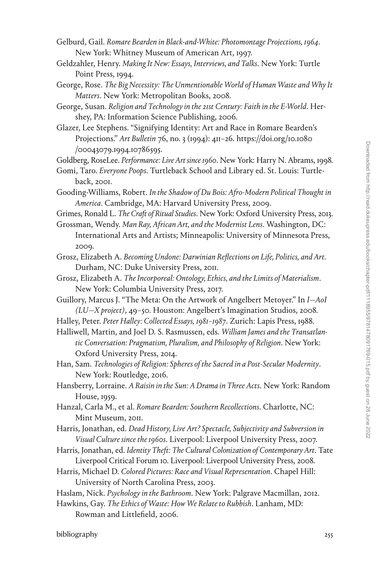- Gelburd, Gail. *Romare Bearden in Black-and-White: Photomontage Projections, 1964*. New York: Whitney Museum of American Art, 1997.
- Geldzahler, Henry. *Making It New: Essays, Interviews, and Talks*. New York: Turtle Point Press, 1994.
- George, Rose. *The Big Necessity: The Unmentionable World of Human Waste and Why It Matters*. New York: Metropolitan Books, 2008.
- George, Susan. *Religion and Technology in the 21st Century: Faith in the E-World*. Hershey, PA: Information Science Publishing, 2006.
- Glazer, Lee Stephens. "Signifying Identity: Art and Race in Romare Bearden's Projections." *Art Bulletin* 76, no. 3 (1994): 411–26. [https://doi.org/10.1080](https://doi.org/10.1080/00043079.1994.10786595) [/00043079.1994.10786595](https://doi.org/10.1080/00043079.1994.10786595).

Goldberg, RoseLee. *Performance: Live Art since 1960*. New York: Harry N. Abrams, 1998.

- Gomi, Taro. *Everyone Poops*. Turtleback School and Library ed. St. Louis: Turtleback, 2001.
- Gooding-Williams, Robert. *In the Shadow of Du Bois: Afro-Modern Political Thought in America*. Cambridge, MA: Harvard University Press, 2009.
- Grimes, Ronald L. *The Craft of Ritual Studies*. New York: Oxford University Press, 2013. Grossman, Wendy. *Man Ray, African Art, and the Modernist Lens*. Washington, DC:
- International Arts and Artists; Minneapolis: University of Minnesota Press, 2009.
- Grosz, Elizabeth A. *Becoming Undone: Darwinian Reflections on Life, Politics, and Art*. Durham, NC: Duke University Press, 2011.
- Grosz, Elizabeth A. *The Incorporeal: Ontology, Ethics, and the Limits of Materialism*. New York: Columbia University Press, 2017.
- Guillory, Marcus J. "The Meta: On the Artwork of Angelbert Metoyer." In *I—AoI (LU—X project)*, 49–50. Houston: Angelbert's Imagination Studios, 2008.
- Halley, Peter. *Peter Halley: Collected Essays, 1981–1987*. Zurich: Lapis Press, 1988.
- Halliwell, Martin, and Joel D. S. Rasmussen, eds. *William James and the Transatlantic Conversation: Pragmatism, Pluralism, and Philosophy of Religion*. New York: Oxford University Press, 2014.
- Han, Sam. *Technologies of Religion: Spheres of the Sacred in a Post-Secular Modernity*. New York: Routledge, 2016.
- Hansberry, Lorraine. *A Raisin in the Sun: A Drama in Three Acts*. New York: Random House, 1959.
- Hanzal, Carla M., et al. *Romare Bearden: Southern Recollections*. Charlotte, NC: Mint Museum, 2011.
- Harris, Jonathan, ed. *Dead History, Live Art? Spectacle, Subjectivity and Subversion in Visual Culture since the 1960s*. Liverpool: Liverpool University Press, 2007.
- Harris, Jonathan, ed. *Identity Theft: The Cultural Colonization of Contemporary Art*. Tate Liverpool Critical Forum 10. Liverpool: Liverpool University Press, 2008.
- Harris, Michael D. *Colored Pictures: Race and Visual Representation*. Chapel Hill: University of North Carolina Press, 2003.
- Haslam, Nick. *Psychology in the Bathroom*. New York: Palgrave Macmillan, 2012.
- Hawkins, Gay. *The Ethics of Waste: How We Relate to Rubbish*. Lanham, MD: Rowman and Littlefield, 2006.

bibliography 255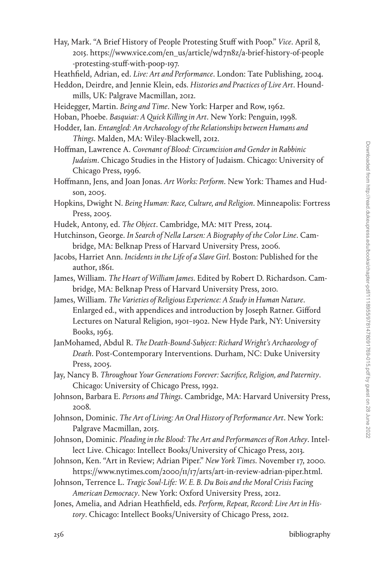- Hay, Mark. "A Brief History of People Protesting Stuff with Poop." *Vice*. April 8, 2015. [https://www.vice.com/en\\_us/article/wd7n8z/a-brief-history-of-people](https://www.vice.com/en_us/article/wd7n8z/a-brief-history-of-people-protesting-stuff-with-poop-197) [-protesting-stuff-with-poop-197](https://www.vice.com/en_us/article/wd7n8z/a-brief-history-of-people-protesting-stuff-with-poop-197).
- Heathfield, Adrian, ed. *Live: Art and Performance*. London: Tate Publishing, 2004.
- Heddon, Deirdre, and Jennie Klein, eds. *Histories and Practices of Live Art*. Houndmills, UK: Palgrave Macmillan, 2012.
- Heidegger, Martin. *Being and Time*. New York: Harper and Row, 1962.
- Hoban, Phoebe. *Basquiat: A Quick Killing in Art*. New York: Penguin, 1998.
- Hodder, Ian. *Entangled: An Archaeology of the Relationships between Humans and Things*. Malden, MA: Wiley-Blackwell, 2012.
- Hoffman, Lawrence A. *Covenant of Blood: Circumcision and Gender in Rabbinic Judaism*. Chicago Studies in the History of Judaism. Chicago: University of Chicago Press, 1996.
- Hoffmann, Jens, and Joan Jonas. *Art Works: Perform*. New York: Thames and Hudson, 2005.
- Hopkins, Dwight N. *Being Human: Race, Culture, and Religion*. Minneapolis: Fortress Press, 2005.
- Hudek, Antony, ed. *The Object*. Cambridge, MA: MIT Press, 2014.
- Hutchinson, George. *In Search of Nella Larsen: A Biography of the Color Line*. Cambridge, MA: Belknap Press of Harvard University Press, 2006.
- Jacobs, Harriet Ann. *Incidents in the Life of a Slave Girl*. Boston: Published for the author, 1861.
- James, William. *The Heart of William James*. Edited by Robert D. Richardson. Cambridge, MA: Belknap Press of Harvard University Press, 2010.
- James, William. *The Varieties of Religious Experience: A Study in Human Nature*. Enlarged ed., with appendices and introduction by Joseph Ratner. Gifford Lectures on Natural Religion, 1901–1902. New Hyde Park, NY: University Books, 1963.
- JanMohamed, Abdul R. *The Death-Bound-Subject: Richard Wright's Archaeology of Death*. Post-Contemporary Interventions. Durham, NC: Duke University Press, 2005.
- Jay, Nancy B. *Throughout Your Generations Forever: Sacrifice, Religion, and Paternity*. Chicago: University of Chicago Press, 1992.
- Johnson, Barbara E. *Persons and Things*. Cambridge, MA: Harvard University Press, 2008.
- Johnson, Dominic. *The Art of Living: An Oral History of Performance Art*. New York: Palgrave Macmillan, 2015.
- Johnson, Dominic. *Pleading in the Blood: The Art and Performances of Ron Athey*. Intellect Live. Chicago: Intellect Books/University of Chicago Press, 2013.
- Johnson, Ken. "Art in Review; Adrian Piper." *New York Times*. November 17, 2000. [https://www.nytimes.com/2000/11/17/arts/art-in-review-adrian-piper.html.](https://www.nytimes.com/2000/11/17/arts/art-in-review-adrian-piper.html)
- Johnson, Terrence L. *Tragic Soul-Life: W. E. B. Du Bois and the Moral Crisis Facing American Democracy*. New York: Oxford University Press, 2012.
- Jones, Amelia, and Adrian Heathfield, eds. *Perform, Repeat, Record: Live Art in History*. Chicago: Intellect Books/University of Chicago Press, 2012.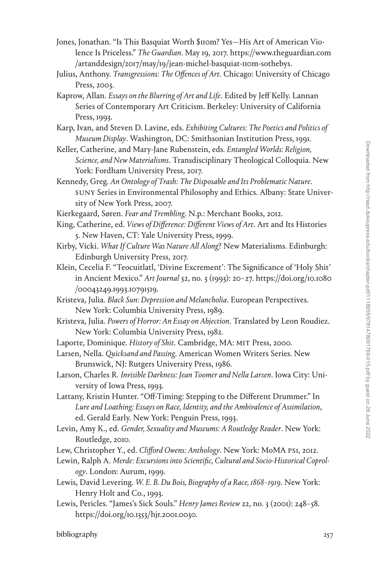- Jones, Jonathan. "Is This Basquiat Worth \$110m? Yes—His Art of American Violence Is Priceless." *The Guardian*. May 19, 2017. [https://www.theguardian.com](https://www.theguardian.com/artanddesign/2017/may/19/jean-michel-basquiat-110m-sothebys) [/artanddesign/2017/may/19/jean-michel-basquiat-110m-sothebys](https://www.theguardian.com/artanddesign/2017/may/19/jean-michel-basquiat-110m-sothebys).
- Julius, Anthony. *Transgressions: The Offences of Art*. Chicago: University of Chicago Press, 2003.
- Kaprow, Allan. *Essays on the Blurring of Art and Life*. Edited by Jeff Kelly. Lannan Series of Contemporary Art Criticism. Berkeley: University of California Press, 1993.
- Karp, Ivan, and Steven D. Lavine, eds. *Exhibiting Cultures: The Poetics and Politics of Museum Display*. Washington, DC: Smithsonian Institution Press, 1991.
- Keller, Catherine, and Mary-Jane Rubenstein, eds. *Entangled Worlds: Religion, Science, and New Materialisms*. Transdisciplinary Theological Colloquia. New York: Fordham University Press, 2017.
- Kennedy, Greg. *An Ontology of Trash: The Disposable and Its Problematic Nature*. SUNY Series in Environmental Philosophy and Ethics. Albany: State University of New York Press, 2007.
- Kierkegaard, Søren. *Fear and Trembling*. N.p.: Merchant Books, 2012.
- King, Catherine, ed. *Views of Difference: Different Views of Art*. Art and Its Histories 5. New Haven, CT: Yale University Press, 1999.
- Kirby, Vicki. *What If Culture Was Nature All Along*? New Materialisms. Edinburgh: Edinburgh University Press, 2017.
- Klein, Cecelia F. "Teocuitlatl, 'Divine Excrement': The Significance of 'Holy Shit' in Ancient Mexico." *Art Journal* 52, no. 3 (1993): 20–27. [https://doi.org/10.1080](https://doi.org/10.1080/00043249.1993.10791519) [/00043249.1993.10791519.](https://doi.org/10.1080/00043249.1993.10791519)
- Kristeva, Julia. *Black Sun: Depression and Melancholia*. European Perspectives. New York: Columbia University Press, 1989.
- Kristeva, Julia. *Powers of Horror: An Essay on Abjection*. Translated by Leon Roudiez. New York: Columbia University Press, 1982.
- Laporte, Dominique. *History of Shit*. Cambridge, MA: MIT Press, 2000.
- Larsen, Nella. *Quicksand and Passing*. American Women Writers Series. New Brunswick, NJ: Rutgers University Press, 1986.
- Larson, Charles R. *Invisible Darkness: Jean Toomer and Nella Larsen*. Iowa City: University of Iowa Press, 1993.
- Lattany, Kristin Hunter. "Off-Timing: Stepping to the Different Drummer." In *Lure and Loathing: Essays on Race, Identity, and the Ambivalence of Assimilation*, ed. Gerald Early. New York: Penguin Press, 1993.
- Levin, Amy K., ed. *Gender, Sexuality and Museums: A Routledge Reader*. New York: Routledge, 2010.
- Lew, Christopher Y., ed. *Clifford Owens: Anthology*. New York: MoMA PS1, 2012.
- Lewin, Ralph A. *Merde: Excursions into Scientific, Cultural and Socio-Historical Coprology*. London: Aurum, 1999.
- Lewis, David Levering. *W. E. B. Du Bois, Biography of a Race, 1868–1919*. New York: Henry Holt and Co., 1993.
- Lewis, Pericles. "James's Sick Souls." *Henry James Review* 22, no. 3 (2001): 248–58. <https://doi.org/10.1353/hjr.2001.0030>.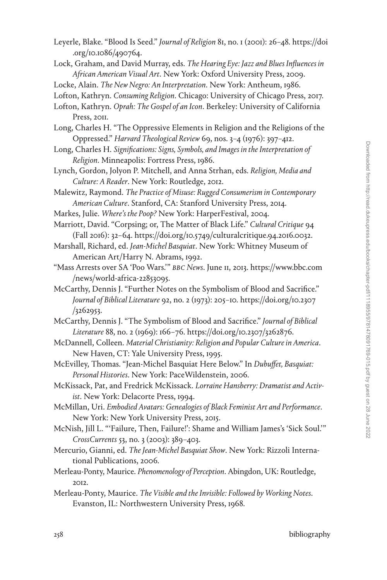- Leyerle, Blake. "Blood Is Seed." *Journal of Religion* 81, no. 1 (2001): 26–48. [https://doi](https://doi.org/10.1086/490764) [.org/10.1086/490764](https://doi.org/10.1086/490764).
- Lock, Graham, and David Murray, eds. *The Hearing Eye: Jazz and Blues Influences in African American Visual Art*. New York: Oxford University Press, 2009.

Locke, Alain. *The New Negro: An Interpretation*. New York: Antheum, 1986.

Lofton, Kathryn. *Consuming Religion*. Chicago: University of Chicago Press, 2017.

Long, Charles H. "The Oppressive Elements in Religion and the Religions of the Oppressed." *Harvard Theological Review* 69, nos. 3–4 (1976): 397–412.

- Long, Charles H. *Significations: Signs, Symbols, and Images in the Interpretation of Religion*. Minneapolis: Fortress Press, 1986.
- Lynch, Gordon, Jolyon P. Mitchell, and Anna Strhan, eds. *Religion, Media and Culture: A Reader*. New York: Routledge, 2012.

Malewitz, Raymond. *The Practice of Misuse: Rugged Consumerism in Contemporary American Culture*. Stanford, CA: Stanford University Press, 2014.

Markes, Julie. *Where's the Poop?* New York: HarperFestival, 2004.

Marriott, David. "Corpsing; or, The Matter of Black Life." *Cultural Critique* 94 (Fall 2016): 32–64. [https://doi.org/10.5749/culturalcritique.94.2016.0032.](https://doi.org/10.5749/culturalcritique.94.2016.0032)

- Marshall, Richard, ed. *Jean-Michel Basquiat*. New York: Whitney Museum of American Art/Harry N. Abrams, 1992.
- "Mass Arrests over SA 'Poo Wars.'" *BBC News*. June 11, 2013. [https://www.bbc.com](https://www.bbc.com/news/world-africa-22853095) [/news/world-africa-22853095.](https://www.bbc.com/news/world-africa-22853095)
- McCarthy, Dennis J. "Further Notes on the Symbolism of Blood and Sacrifice." *Journal of Biblical Literature* 92, no. 2 (1973): 205–10. [https://doi.org/10.2307](https://doi.org/10.2307/3262953) [/3262953.](https://doi.org/10.2307/3262953)
- McCarthy, Dennis J. "The Symbolism of Blood and Sacrifice." *Journal of Biblical Literature* 88, no. 2 (1969): 166–76. [https://doi.org/10.2307/3262876.](https://doi.org/10.2307/3262876)
- McDannell, Colleen. *Material Christianity: Religion and Popular Culture in America*. New Haven, CT: Yale University Press, 1995.
- McEvilley, Thomas. "Jean-Michel Basquiat Here Below." In *Dubuffet, Basquiat: Personal Histories*. New York: PaceWildenstein, 2006.
- McKissack, Pat, and Fredrick McKissack. *Lorraine Hansberry: Dramatist and Activist*. New York: Delacorte Press, 1994.

McMillan, Uri. *Embodied Avatars: Genealogies of Black Feminist Art and Performance*. New York: New York University Press, 2015.

- McNish, Jill L. "'Failure, Then, Failure!': Shame and William James's 'Sick Soul.'" *CrossCurrents* 53, no. 3 (2003): 389–403.
- Mercurio, Gianni, ed. *The Jean-Michel Basquiat Show*. New York: Rizzoli International Publications, 2006.
- Merleau-Ponty, Maurice. *Phenomenology of Perception*. Abingdon, UK: Routledge, 2012.
- Merleau-Ponty, Maurice. *The Visible and the Invisible: Followed by Working Notes*. Evanston, IL: Northwestern University Press, 1968.

Lofton, Kathryn. *Oprah: The Gospel of an Icon*. Berkeley: University of California Press, 2011.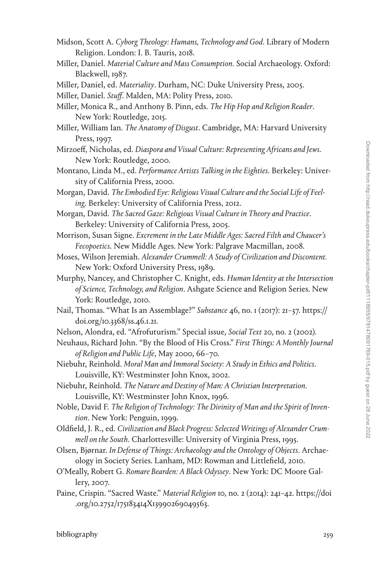- Midson, Scott A. *Cyborg Theology: Humans, Technology and God*. Library of Modern Religion. London: I. B. Tauris, 2018.
- Miller, Daniel. *Material Culture and Mass Consumption*. Social Archaeology. Oxford: Blackwell, 1987.
- Miller, Daniel, ed. *Materiality*. Durham, NC: Duke University Press, 2005.
- Miller, Daniel. *Stuff*. Malden, MA: Polity Press, 2010.
- Miller, Monica R., and Anthony B. Pinn, eds. *The Hip Hop and Religion Reader*. New York: Routledge, 2015.
- Miller, William Ian. *The Anatomy of Disgust*. Cambridge, MA: Harvard University Press, 1997.
- Mirzoeff, Nicholas, ed. *Diaspora and Visual Culture: Representing Africans and Jews*. New York: Routledge, 2000.
- Montano, Linda M., ed. *Performance Artists Talking in the Eighties*. Berkeley: University of California Press, 2000.
- Morgan, David. *The Embodied Eye: Religious Visual Culture and the Social Life of Feeling*. Berkeley: University of California Press, 2012.
- Morgan, David. *The Sacred Gaze: Religious Visual Culture in Theory and Practice*. Berkeley: University of California Press, 2005.
- Morrison, Susan Signe. *Excrement in the Late Middle Ages: Sacred Filth and Chaucer's Fecopoetics*. New Middle Ages. New York: Palgrave Macmillan, 2008.
- Moses, Wilson Jeremiah. *Alexander Crummell: A Study of Civilization and Discontent.* New York: Oxford University Press, 1989.
- Murphy, Nancey, and Christopher C. Knight, eds. *Human Identity at the Intersection of Science, Technology, and Religion*. Ashgate Science and Religion Series. New York: Routledge, 2010.
- Nail, Thomas. "What Is an Assemblage?" *Substance* 46, no. 1 (2017): 21–37. [https://](https://doi.org/10.3368/ss.46.1.21) [doi.org/10.3368/ss.46.1.21.](https://doi.org/10.3368/ss.46.1.21)
- Nelson, Alondra, ed. "Afrofuturism." Special issue, *Social Text* 20, no. 2 (2002).
- Neuhaus, Richard John. "By the Blood of His Cross." *First Things: A Monthly Journal of Religion and Public Life*, May 2000, 66–70.
- Niebuhr, Reinhold. *Moral Man and Immoral Society: A Study in Ethics and Politics*. Louisville, KY: Westminster John Knox, 2002.

Niebuhr, Reinhold. *The Nature and Destiny of Man: A Christian Interpretation*. Louisville, KY: Westminster John Knox, 1996.

Noble, David F. *The Religion of Technology: The Divinity of Man and the Spirit of Invention*. New York: Penguin, 1999.

- Oldfield, J. R., ed. *Civilization and Black Progress: Selected Writings of Alexander Crummell on the South*. Charlottesville: University of Virginia Press, 1995.
- Olsen, Bjørnar. *In Defense of Things: Archaeology and the Ontology of Objects*. Archaeology in Society Series. Lanham, MD: Rowman and Littlefield, 2010.
- O'Meally, Robert G. *Romare Bearden: A Black Odyssey*. New York: DC Moore Gallery, 2007.
- Paine, Crispin. "Sacred Waste." *Material Religion* 10, no. 2 (2014): 241–42. [https://doi](https://doi.org/10.2752/175183414X13990269049563) [.org/10.2752/175183414X13990269049563](https://doi.org/10.2752/175183414X13990269049563).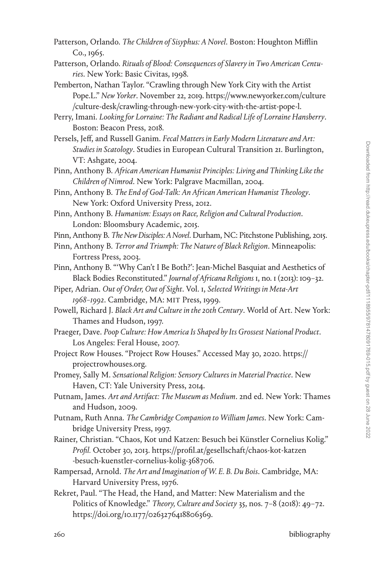- Patterson, Orlando. *The Children of Sisyphus: A Novel*. Boston: Houghton Mifflin Co., 1965.
- Patterson, Orlando. *Rituals of Blood: Consequences of Slavery in Two American Centuries*. New York: Basic Civitas, 1998.
- Pemberton, Nathan Taylor. "Crawling through New York City with the Artist Pope.L." *New Yorker*. November 22, 2019. [https://www.newyorker.com/culture](https://www.newyorker.com/culture/culture-desk/crawling-through-new-york-city-with-the-artist-pope-l) [/culture-desk/crawling-through-new-york-city-with-the-artist-pope-l.](https://www.newyorker.com/culture/culture-desk/crawling-through-new-york-city-with-the-artist-pope-l)
- Perry, Imani. *Looking for Lorraine: The Radiant and Radical Life of Lorraine Hansberry*. Boston: Beacon Press, 2018.
- Persels, Jeff, and Russell Ganim. *Fecal Matters in Early Modern Literature and Art: Studies in Scatology*. Studies in European Cultural Transition 21. Burlington, VT: Ashgate, 2004.
- Pinn, Anthony B. *African American Humanist Principles: Living and Thinking Like the Children of Nimrod*. New York: Palgrave Macmillan, 2004.
- Pinn, Anthony B. *The End of God-Talk: An African American Humanist Theology*. New York: Oxford University Press, 2012.
- Pinn, Anthony B. *Humanism: Essays on Race, Religion and Cultural Production*. London: Bloomsbury Academic, 2015.
- Pinn, Anthony B. *The New Disciples: A Novel*. Durham, NC: Pitchstone Publishing, 2015.
- Pinn, Anthony B. *Terror and Triumph: The Nature of Black Religion*. Minneapolis: Fortress Press, 2003.
- Pinn, Anthony B. "'Why Can't I Be Both?': Jean-Michel Basquiat and Aesthetics of Black Bodies Reconstituted." *Journal of Africana Religions* 1, no. 1 (2013): 109–32.
- Piper, Adrian. *Out of Order, Out of Sight*. Vol. 1, *Selected Writings in Meta-Art 1968–1992*. Cambridge, MA: MIT Press, 1999.
- Powell, Richard J. *Black Art and Culture in the 20th Century*. World of Art. New York: Thames and Hudson, 1997.
- Praeger, Dave. *Poop Culture: How America Is Shaped by Its Grossest National Product*. Los Angeles: Feral House, 2007.
- Project Row Houses. "Project Row Houses." Accessed May 30, 2020. [https://](https://projectrowhouses.org) [projectrowhouses.org.](https://projectrowhouses.org)
- Promey, Sally M. *Sensational Religion: Sensory Cultures in Material Practice*. New Haven, CT: Yale University Press, 2014.
- Putnam, James. *Art and Artifact: The Museum as Medium*. 2nd ed. New York: Thames and Hudson, 2009.
- Putnam, Ruth Anna. *The Cambridge Companion to William James*. New York: Cambridge University Press, 1997.
- Rainer, Christian. "Chaos, Kot und Katzen: Besuch bei Künstler Cornelius Kolig." *Profil.* October 30, 2013. [https://profil.at/gesellschaft/chaos-kot-katzen](https://profil.at/gesellschaft/chaos-kot-katzen-besuch-kuenstler-cornelius-kolig-368706) [-besuch-kuenstler-cornelius-kolig-368706](https://profil.at/gesellschaft/chaos-kot-katzen-besuch-kuenstler-cornelius-kolig-368706).
- Rampersad, Arnold. *The Art and Imagination of W. E. B. Du Bois*. Cambridge, MA: Harvard University Press, 1976.
- Rekret, Paul. "The Head, the Hand, and Matter: New Materialism and the Politics of Knowledge." *Theory, Culture and Society* 35, nos. 7–8 (2018): 49–72. [https://doi.org/10.1177/0263276418806369.](https://doi.org/10.1177/0263276418806369)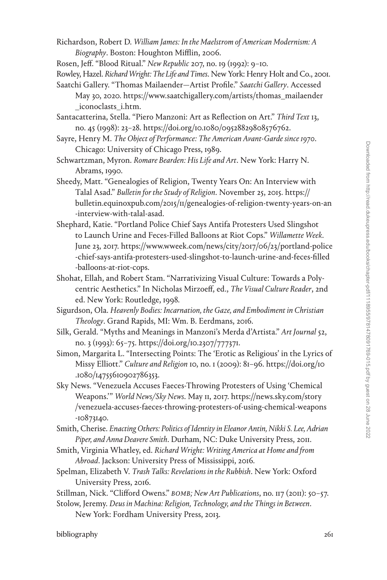- Richardson, Robert D. *William James: In the Maelstrom of American Modernism: A Biography*. Boston: Houghton Mifflin, 2006.
- Rosen, Jeff. "Blood Ritual." *New Republic* 207, no. 19 (1992): 9–10.
- Rowley, Hazel. *Richard Wright: The Life and Times*. New York: Henry Holt and Co., 2001.
- Saatchi Gallery. "Thomas Mailaender—Artist Profile." *Saatchi Gallery*. Accessed May 30, 2020. [https://www.saatchigallery.com/artists/thomas\\_mailaender](https://www.saatchigallery.com/artists/thomas_mailaender_iconoclasts_i.htm) [\\_iconoclasts\\_i.htm](https://www.saatchigallery.com/artists/thomas_mailaender_iconoclasts_i.htm).
- Santacatterina, Stella. "Piero Manzoni: Art as Reflection on Art." *Third Text* 13, no. 45 (1998): 23–28. [https://doi.org/10.1080/09528829808576762.](https://doi.org/10.1080/09528829808576762)
- Sayre, Henry M. *The Object of Performance: The American Avant-Garde since 1970*. Chicago: University of Chicago Press, 1989.
- Schwartzman, Myron. *Romare Bearden: His Life and Art*. New York: Harry N. Abrams, 1990.
- Sheedy, Matt. "Genealogies of Religion, Twenty Years On: An Interview with Talal Asad." *Bulletin for the Study of Religion*. November 25, 2015. [https://](https://bulletin.equinoxpub.com/2015/11/genealogies-of-religion-twenty-years-on-an-interview-with-talal-asad) [bulletin.equinoxpub.com/2015/11/genealogies-of-religion-twenty-years-on-an](https://bulletin.equinoxpub.com/2015/11/genealogies-of-religion-twenty-years-on-an-interview-with-talal-asad) [-interview-with-talal-asad](https://bulletin.equinoxpub.com/2015/11/genealogies-of-religion-twenty-years-on-an-interview-with-talal-asad).
- Shephard, Katie. "Portland Police Chief Says Antifa Protesters Used Slingshot to Launch Urine and Feces-Filled Balloons at Riot Cops." *Willamette Week*. June 23, 2017. [https://www.wweek.com/news/city/2017/06/23/portland-police](https://www.wweek.com/news/city/2017/06/23/portland-police-chief-says-antifa-protesters-used-slingshot-to-launch-urine-and-feces-filled-balloons-at-riot-cops) [-chief-says-antifa-protesters-used-slingshot-to-launch-urine-and-feces-filled](https://www.wweek.com/news/city/2017/06/23/portland-police-chief-says-antifa-protesters-used-slingshot-to-launch-urine-and-feces-filled-balloons-at-riot-cops) [-balloons-at-riot-cops.](https://www.wweek.com/news/city/2017/06/23/portland-police-chief-says-antifa-protesters-used-slingshot-to-launch-urine-and-feces-filled-balloons-at-riot-cops)
- Shohat, Ellah, and Robert Stam. "Narrativizing Visual Culture: Towards a Polycentric Aesthetics." In Nicholas Mirzoeff, ed., *The Visual Culture Reader*, 2nd ed. New York: Routledge, 1998.
- Sigurdson, Ola. *Heavenly Bodies: Incarnation, the Gaze, and Embodiment in Christian Theology*. Grand Rapids, MI: Wm. B. Eerdmans, 2016.
- Silk, Gerald. "Myths and Meanings in Manzoni's Merda d'Artista." *Art Journal* 52, no. 3 (1993): 65–75. <https://doi.org/10.2307/777371>.
- Simon, Margarita L. "Intersecting Points: The 'Erotic as Religious' in the Lyrics of Missy Elliott." *Culture and Religion* 10, no. 1 (2009): 81–96. [https://doi.org/10](https://doi.org/10.1080/14755610902786353) [.1080/14755610902786353](https://doi.org/10.1080/14755610902786353).
- Sky News. "Venezuela Accuses Faeces-Throwing Protesters of Using 'Chemical Weapons.'" *World News/Sky News*. May 11, 2017. [https://news.sky.com/story](https://news.sky.com/story/venezuela-accuses-faeces-throwing-protesters-of-using-chemical-weapons-10873140) [/venezuela-accuses-faeces-throwing-protesters-of-using-chemical-weapons](https://news.sky.com/story/venezuela-accuses-faeces-throwing-protesters-of-using-chemical-weapons-10873140) [-10873140](https://news.sky.com/story/venezuela-accuses-faeces-throwing-protesters-of-using-chemical-weapons-10873140).
- Smith, Cherise. *Enacting Others: Politics of Identity in Eleanor Antin, Nikki S. Lee, Adrian Piper, and Anna Deavere Smith*. Durham, NC: Duke University Press, 2011.
- Smith, Virginia Whatley, ed. *Richard Wright: Writing America at Home and from Abroad*. Jackson: University Press of Mississippi, 2016.
- Spelman, Elizabeth V. *Trash Talks: Revelations in the Rubbish*. New York: Oxford University Press, 2016.
- Stillman, Nick. "Clifford Owens." *BOMB; New Art Publications*, no. 117 (2011): 50–57.
- Stolow, Jeremy. *Deus in Machina: Religion, Technology, and the Things in Between*.

New York: Fordham University Press, 2013.

bibliography 261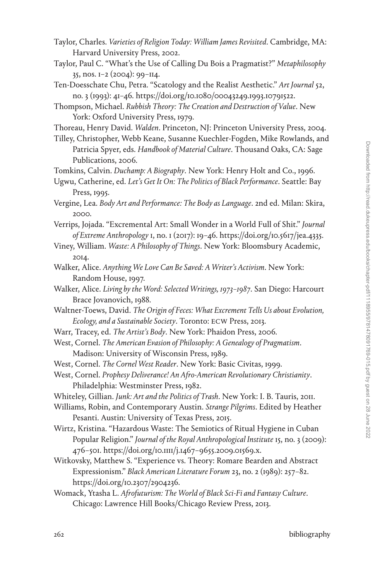- Taylor, Charles. *Varieties of Religion Today: William James Revisited*. Cambridge, MA: Harvard University Press, 2002.
- Taylor, Paul C. "What's the Use of Calling Du Bois a Pragmatist?" *Metaphilosophy* 35, nos. 1–2 (2004): 99–114.
- Ten-Doesschate Chu, Petra. "Scatology and the Realist Aesthetic." *Art Journal* 52, no. 3 (1993): 41–46. [https://doi.org/10.1080/00043249.1993.10791522.](https://doi.org/10.1080/00043249.1993.10791522)
- Thompson, Michael. *Rubbish Theory: The Creation and Destruction of Value*. New York: Oxford University Press, 1979.

Thoreau, Henry David. *Walden*. Princeton, NJ: Princeton University Press, 2004.

Tilley, Christopher, Webb Keane, Susanne Kuechler-Fogden, Mike Rowlands, and Patricia Spyer, eds. *Handbook of Material Culture*. Thousand Oaks, CA: Sage Publications, 2006.

Tomkins, Calvin. *Duchamp: A Biography*. New York: Henry Holt and Co., 1996.

Vergine, Lea. *Body Art and Performance: The Body as Language*. 2nd ed. Milan: Skira, 2000.

Verrips, Jojada. "Excremental Art: Small Wonder in a World Full of Shit." *Journal of Extreme Anthropology* 1, no. 1 (2017): 19–46.<https://doi.org/10.5617/jea.4335>.

- Viney, William. *Waste: A Philosophy of Things*. New York: Bloomsbury Academic, 2014.
- Walker, Alice. *Anything We Love Can Be Saved: A Writer's Activism*. New York: Random House, 1997.
- Walker, Alice. *Living by the Word: Selected Writings, 1973–1987*. San Diego: Harcourt Brace Jovanovich, 1988.
- Waltner-Toews, David. *The Origin of Feces: What Excrement Tells Us about Evolution, Ecology, and a Sustainable Society*. Toronto: ECW Press, 2013.
- Warr, Tracey, ed. *The Artist's Body*. New York: Phaidon Press, 2006.
- West, Cornel. *The American Evasion of Philosophy: A Genealogy of Pragmatism*. Madison: University of Wisconsin Press, 1989.
- West, Cornel. *The Cornel West Reader*. New York: Basic Civitas, 1999.

West, Cornel. *Prophesy Deliverance! An Afro-American Revolutionary Christianity*. Philadelphia: Westminster Press, 1982.

Whiteley, Gillian. *Junk: Art and the Politics of Trash*. New York: I. B. Tauris, 2011.

Williams, Robin, and Contemporary Austin. *Strange Pilgrims*. Edited by Heather Pesanti. Austin: University of Texas Press, 2015.

Wirtz, Kristina. "Hazardous Waste: The Semiotics of Ritual Hygiene in Cuban Popular Religion." *Journal of the Royal Anthropological Institute* 15, no. 3 (2009): 476–501. [https://doi.org/10.1111/j.1467–9655.2009.01569.x.](https://doi.org/10.1111/j.1467-9655.2009.01569.x)

Witkovsky, Matthew S. "Experience vs. Theory: Romare Bearden and Abstract Expressionism." *Black American Literature Forum* 23, no. 2 (1989): 257–82. [https://doi.org/10.2307/2904236.](https://doi.org/10.2307/2904236)

Womack, Ytasha L. *Afrofuturism: The World of Black Sci-Fi and Fantasy Culture*. Chicago: Lawrence Hill Books/Chicago Review Press, 2013.

Ugwu, Catherine, ed. *Let's Get It On: The Politics of Black Performance*. Seattle: Bay Press, 1995.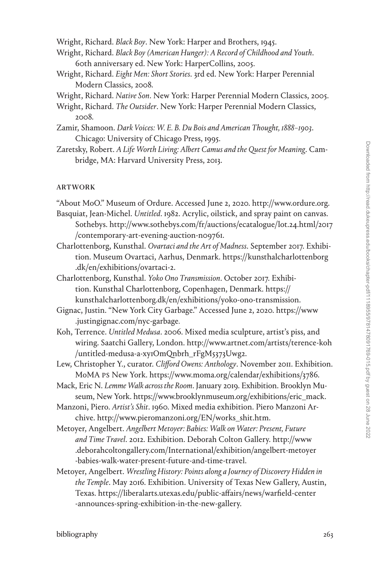Wright, Richard. *Black Boy*. New York: Harper and Brothers, 1945.

- Wright, Richard. *Black Boy (American Hunger): A Record of Childhood and Youth*. 60th anniversary ed. New York: HarperCollins, 2005.
- Wright, Richard. *Eight Men: Short Stories*. 3rd ed. New York: Harper Perennial Modern Classics, 2008.

Wright, Richard. *Native Son*. New York: Harper Perennial Modern Classics, 2005.

- Wright, Richard. *The Outsider*. New York: Harper Perennial Modern Classics, 2008.
- Zamir, Shamoon. *Dark Voices: W. E. B. Du Bois and American Thought, 1888–1903*. Chicago: University of Chicago Press, 1995.
- Zaretsky, Robert. *A Life Worth Living: Albert Camus and the Quest for Meaning*. Cambridge, MA: Harvard University Press, 2013.

## artwork

"About MoO." Museum of Ordure. Accessed June 2, 2020. [http://www.ordure.org.](http://www.ordure.org)

- Basquiat, Jean-Michel. *Untitled*. 1982. Acrylic, oilstick, and spray paint on canvas. Sothebys. [http://www.sothebys.com/fr/auctions/ecatalogue/lot.24.html/2017](http://www.sothebys.com/fr/auctions/ecatalogue/lot.24.html/2017/contemporary-art-evening-auction-n09761) [/contemporary-art-evening-auction-n09761](http://www.sothebys.com/fr/auctions/ecatalogue/lot.24.html/2017/contemporary-art-evening-auction-n09761).
- Charlottenborg, Kunsthal. *Ovartaci and the Art of Madness*. September 2017. Exhibition. Museum Ovartaci, Aarhus, Denmark. [https://kunsthalcharlottenborg](https://kunsthalcharlottenborg.dk/en/exhibitions/ovartaci-2) [.dk/en/exhibitions/ovartaci-2.](https://kunsthalcharlottenborg.dk/en/exhibitions/ovartaci-2)
- Charlottenborg, Kunsthal. *Yoko Ono Transmission*. October 2017. Exhibition. Kunsthal Charlottenborg, Copenhagen, Denmark. [https://](https://kunsthalcharlottenborg.dk/en/exhibitions/yoko-ono-transmission) [kunsthalcharlottenborg.dk/en/exhibitions/yoko-ono-transmission.](https://kunsthalcharlottenborg.dk/en/exhibitions/yoko-ono-transmission)
- Gignac, Justin. "New York City Garbage." Accessed June 2, 2020. [https://www](https://www.justingignac.com/nyc-garbage) [.justingignac.com/nyc-garbage](https://www.justingignac.com/nyc-garbage)*.*
- Koh, Terrence. *Untitled Medusa*. 2006. Mixed media sculpture, artist's piss, and wiring. Saatchi Gallery, London. [http://www.artnet.com/artists/terence-koh](http://www.artnet.com/artists/terence-koh/untitled-medusa-a-xy1OmQnbrh_rFgM5373Uwg2) [/untitled-medusa-a-xy1OmQnbrh\\_rFgM5373Uwg2.](http://www.artnet.com/artists/terence-koh/untitled-medusa-a-xy1OmQnbrh_rFgM5373Uwg2)
- Lew, Christopher Y., curator. *Clifford Owens: Anthology*. November 2011. Exhibition. MoMA PS New York. [https://www.moma.org/calendar/exhibitions/3786.](https://www.moma.org/calendar/exhibitions/3786)
- Mack, Eric N. *Lemme Walk across the Room*. January 2019. Exhibition. Brooklyn Museum, New York. [https://www.brooklynmuseum.org/exhibitions/eric\\_mack](https://www.brooklynmuseum.org/exhibitions/eric_mack).

Manzoni, Piero. *Artist's Shit*. 1960. Mixed media exhibition. Piero Manzoni Archive. [http://www.pieromanzoni.org/EN/works\\_shit.htm](http://www.pieromanzoni.org/EN/works_shit.htm).

- Metoyer, Angelbert. *Angelbert Metoyer: Babies: Walk on Water: Present, Future and Time Travel*. 2012. Exhibition. Deborah Colton Gallery. [http://www](http://www.deborahcoltongallery.com/International/exhibition/angelbert-metoyer-babies-walk-water-present-future-and-time-travel) [.deborahcoltongallery.com/International/exhibition/angelbert-metoyer](http://www.deborahcoltongallery.com/International/exhibition/angelbert-metoyer-babies-walk-water-present-future-and-time-travel) [-babies-walk-water-present-future-and-time-travel](http://www.deborahcoltongallery.com/International/exhibition/angelbert-metoyer-babies-walk-water-present-future-and-time-travel).
- Metoyer, Angelbert. *Wrestling History: Points along a Journey of Discovery Hidden in the Temple*. May 2016. Exhibition. University of Texas New Gallery, Austin, Texas. [https://liberalarts.utexas.edu/public-affairs/news/warfield-center](https://liberalarts.utexas.edu/public-affairs/news/warfield-center-announces-spring-exhibition-in-the-new-gallery) [-announces-spring-exhibition-in-the-new-gallery.](https://liberalarts.utexas.edu/public-affairs/news/warfield-center-announces-spring-exhibition-in-the-new-gallery)